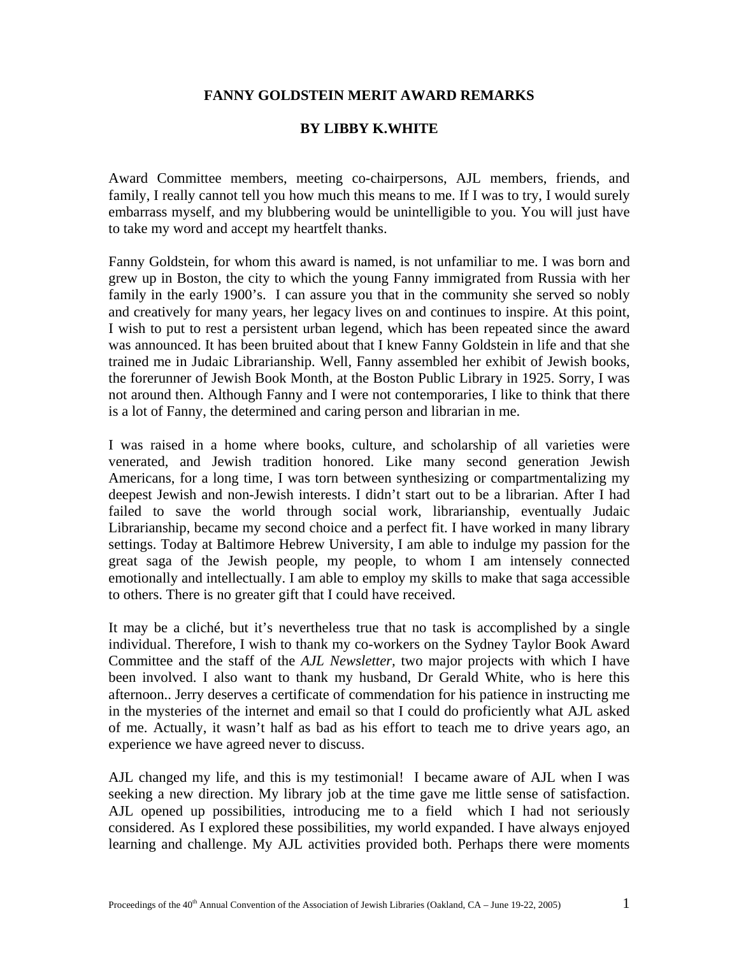## **FANNY GOLDSTEIN MERIT AWARD REMARKS**

## **BY LIBBY K.WHITE**

Award Committee members, meeting co-chairpersons, AJL members, friends, and family, I really cannot tell you how much this means to me. If I was to try, I would surely embarrass myself, and my blubbering would be unintelligible to you. You will just have to take my word and accept my heartfelt thanks.

Fanny Goldstein, for whom this award is named, is not unfamiliar to me. I was born and grew up in Boston, the city to which the young Fanny immigrated from Russia with her family in the early 1900's. I can assure you that in the community she served so nobly and creatively for many years, her legacy lives on and continues to inspire. At this point, I wish to put to rest a persistent urban legend, which has been repeated since the award was announced. It has been bruited about that I knew Fanny Goldstein in life and that she trained me in Judaic Librarianship. Well, Fanny assembled her exhibit of Jewish books, the forerunner of Jewish Book Month, at the Boston Public Library in 1925. Sorry, I was not around then. Although Fanny and I were not contemporaries, I like to think that there is a lot of Fanny, the determined and caring person and librarian in me.

I was raised in a home where books, culture, and scholarship of all varieties were venerated, and Jewish tradition honored. Like many second generation Jewish Americans, for a long time, I was torn between synthesizing or compartmentalizing my deepest Jewish and non-Jewish interests. I didn't start out to be a librarian. After I had failed to save the world through social work, librarianship, eventually Judaic Librarianship, became my second choice and a perfect fit. I have worked in many library settings. Today at Baltimore Hebrew University, I am able to indulge my passion for the great saga of the Jewish people, my people, to whom I am intensely connected emotionally and intellectually. I am able to employ my skills to make that saga accessible to others. There is no greater gift that I could have received.

It may be a cliché, but it's nevertheless true that no task is accomplished by a single individual. Therefore, I wish to thank my co-workers on the Sydney Taylor Book Award Committee and the staff of the *AJL Newsletter,* two major projects with which I have been involved. I also want to thank my husband, Dr Gerald White, who is here this afternoon.. Jerry deserves a certificate of commendation for his patience in instructing me in the mysteries of the internet and email so that I could do proficiently what AJL asked of me. Actually, it wasn't half as bad as his effort to teach me to drive years ago, an experience we have agreed never to discuss.

AJL changed my life, and this is my testimonial! I became aware of AJL when I was seeking a new direction. My library job at the time gave me little sense of satisfaction. AJL opened up possibilities, introducing me to a field which I had not seriously considered. As I explored these possibilities, my world expanded. I have always enjoyed learning and challenge. My AJL activities provided both. Perhaps there were moments